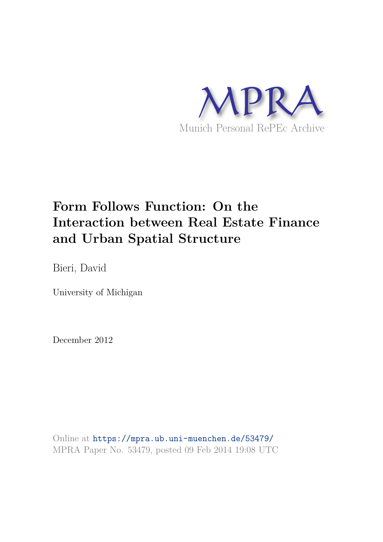

# **Form Follows Function: On the Interaction between Real Estate Finance and Urban Spatial Structure**

Bieri, David

University of Michigan

December 2012

Online at https://mpra.ub.uni-muenchen.de/53479/ MPRA Paper No. 53479, posted 09 Feb 2014 19:08 UTC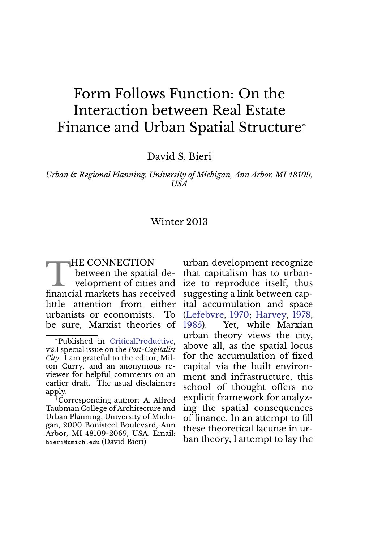## Form Follows Function: On the Interaction between Real Estate Finance and Urban Spatial Structure<sup>∗</sup>

David S. Bieri†

*Urban & Regional Planning, University of Michigan, Ann Arbor, MI 48109, USA*

#### Winter 2013

THE CONNECTION<br>between the spatial de-<br>velopment of cities and<br>financial markets has received HE CONNECTION between the spatial development of cities and little attention from either urbanists or economists. To be sure, Marxist theories of

†Corresponding author: A. Alfred Taubman College of Architecture and Urban Planning, University of Michigan, 2000 Bonisteel Boulevard, Ann Arbor, MI 48109-2069, USA. Email: bieri@umich.edu (David Bieri)

urban development recognize that capitalism has to urbanize to reproduce itself, thus suggesting a link between capital accumulation and space (Lefebvre, 1970; Harvey, 1978, 1985). Yet, while Marxian urban theory views the city, above all, as the spatial locus for the accumulation of fixed capital via the built environment and infrastructure, this school of thought offers no explicit framework for analyzing the spatial consequences of finance. In an attempt to fill these theoretical lacunæ in urban theory, I attempt to lay the

<sup>∗</sup>Published in CriticalProductive, v2.1 special issue on the *Post-Capitalist City*. I am grateful to the editor, Milton Curry, and an anonymous reviewer for helpful comments on an earlier draft. The usual disclaimers apply.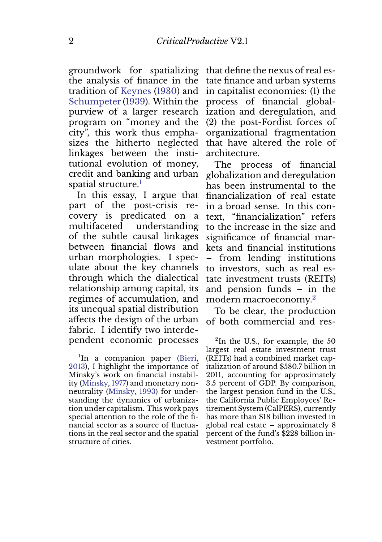groundwork for spatializing the analysis of finance in the tradition of Keynes (1930) and Schumpeter (1939). Within the purview of a larger research program on "money and the city", this work thus emphasizes the hitherto neglected linkages between the institutional evolution of money, credit and banking and urban spatial structure.<sup>1</sup>

In this essay, I argue that part of the post-crisis recovery is predicated on a multifaceted understanding of the subtle causal linkages between financial flows and urban morphologies. I speculate about the key channels through which the dialectical relationship among capital, its regimes of accumulation, and its unequal spatial distribution affects the design of the urban fabric. I identify two interdependent economic processes

that define the nexus of real estate finance and urban systems in capitalist economies: (1) the process of financial globalization and deregulation, and (2) the post-Fordist forces of organizational fragmentation that have altered the role of architecture.

The process of financial globalization and deregulation has been instrumental to the financialization of real estate in a broad sense. In this context, "financialization" refers to the increase in the size and significance of financial markets and financial institutions – from lending institutions to investors, such as real estate investment trusts (REITs) and pension funds – in the modern macroeconomy.<sup>2</sup>

To be clear, the production of both commercial and res-

<sup>&</sup>lt;sup>1</sup>In a companion paper (Bieri, 2013), I highlight the importance of Minsky's work on financial instability (Minsky, 1977) and monetary nonneutrality (Minsky, 1993) for understanding the dynamics of urbanization under capitalism. This work pays special attention to the role of the financial sector as a source of fluctuations in the real sector and the spatial structure of cities.

 ${}^{2}$ In the U.S., for example, the 50 largest real estate investment trust (REITs) had a combined market capitalization of around \$580.7 billion in 2011, accounting for approximately 3.5 percent of GDP. By comparison, the largest pension fund in the U.S., the California Public Employees' Retirement System (CalPERS), currently has more than \$18 billion invested in global real estate – approximately 8 percent of the fund's \$228 billion investment portfolio.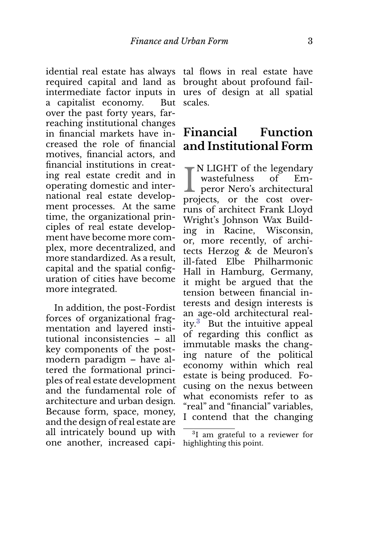idential real estate has always required capital and land as intermediate factor inputs in a capitalist economy. But over the past forty years, farreaching institutional changes in financial markets have increased the role of financial motives, financial actors, and financial institutions in creating real estate credit and in operating domestic and international real estate development processes. At the same time, the organizational principles of real estate development have become more complex, more decentralized, and more standardized. As a result, capital and the spatial configuration of cities have become more integrated.

In addition, the post-Fordist forces of organizational fragmentation and layered institutional inconsistencies – all key components of the postmodern paradigm – have altered the formational principles of real estate development and the fundamental role of architecture and urban design. Because form, space, money, and the design of real estate are all intricately bound up with one another, increased capital flows in real estate have brought about profound failures of design at all spatial scales.

#### **Financial Function and Institutional Form**

I N LIGHT of the legendary<br>wastefulness of Em-<br>peror Nero's architectural N LIGHT of the legendary wastefulness of Emprojects, or the cost overruns of architect Frank Lloyd Wright's Johnson Wax Building in Racine, Wisconsin, or, more recently, of architects Herzog & de Meuron's ill-fated Elbe Philharmonic Hall in Hamburg, Germany, it might be argued that the tension between financial interests and design interests is an age-old architectural reality.<sup>3</sup> But the intuitive appeal of regarding this conflict as immutable masks the changing nature of the political economy within which real estate is being produced. Focusing on the nexus between what economists refer to as "real" and "financial" variables, I contend that the changing

<sup>&</sup>lt;sup>3</sup>I am grateful to a reviewer for highlighting this point.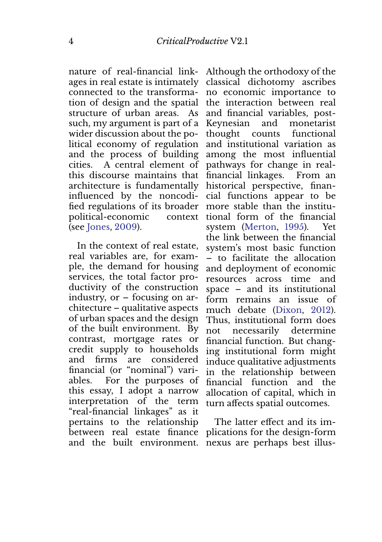nature of real-financial linkages in real estate is intimately connected to the transformation of design and the spatial structure of urban areas. As such, my argument is part of a wider discussion about the political economy of regulation and the process of building cities. A central element of this discourse maintains that architecture is fundamentally influenced by the noncodified regulations of its broader political-economic context (see Jones, 2009).

In the context of real estate, real variables are, for example, the demand for housing services, the total factor productivity of the construction industry, or – focusing on architecture – qualitative aspects of urban spaces and the design of the built environment. By contrast, mortgage rates or credit supply to households and firms are considered financial (or "nominal") variables. For the purposes of this essay, I adopt a narrow interpretation of the term "real-financial linkages" as it pertains to the relationship between real estate finance

Although the orthodoxy of the classical dichotomy ascribes no economic importance to the interaction between real and financial variables, post-Keynesian and monetarist thought counts functional and institutional variation as among the most influential pathways for change in realfinancial linkages. From an historical perspective, financial functions appear to be more stable than the institutional form of the financial system (Merton, 1995). Yet the link between the financial system's most basic function – to facilitate the allocation and deployment of economic resources across time and space – and its institutional form remains an issue of much debate (Dixon, 2012). Thus, institutional form does not necessarily determine financial function. But changing institutional form might induce qualitative adjustments in the relationship between financial function and the allocation of capital, which in turn affects spatial outcomes.

and the built environment. nexus are perhaps best illus-The latter effect and its implications for the design-form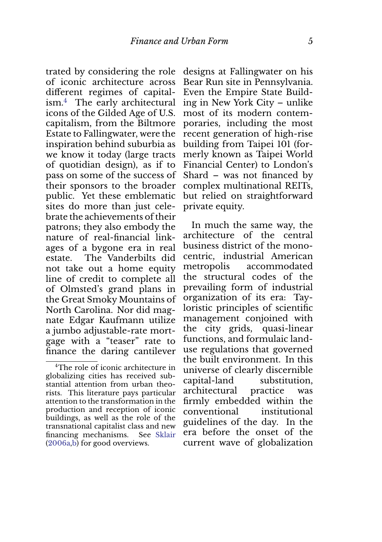trated by considering the role of iconic architecture across different regimes of capitalism.<sup>4</sup> The early architectural icons of the Gilded Age of U.S. capitalism, from the Biltmore Estate to Fallingwater, were the inspiration behind suburbia as we know it today (large tracts of quotidian design), as if to pass on some of the success of their sponsors to the broader public. Yet these emblematic sites do more than just celebrate the achievements of their patrons; they also embody the nature of real-financial linkages of a bygone era in real estate. The Vanderbilts did not take out a home equity line of credit to complete all of Olmsted's grand plans in the Great Smoky Mountains of North Carolina. Nor did magnate Edgar Kaufmann utilize a jumbo adjustable-rate mortgage with a "teaser" rate to finance the daring cantilever

designs at Fallingwater on his Bear Run site in Pennsylvania. Even the Empire State Building in New York City – unlike most of its modern contemporaries, including the most recent generation of high-rise building from Taipei 101 (formerly known as Taipei World Financial Center) to London's Shard – was not financed by complex multinational REITs, but relied on straightforward private equity.

In much the same way, the architecture of the central business district of the monocentric, industrial American metropolis accommodated the structural codes of the prevailing form of industrial organization of its era: Tayloristic principles of scientific management conjoined with the city grids, quasi-linear functions, and formulaic landuse regulations that governed the built environment. In this universe of clearly discernible capital-land substitution, architectural practice was firmly embedded within the conventional institutional guidelines of the day. In the era before the onset of the current wave of globalization

<sup>4</sup>The role of iconic architecture in globalizing cities has received substantial attention from urban theorists. This literature pays particular attention to the transformation in the production and reception of iconic buildings, as well as the role of the transnational capitalist class and new financing mechanisms. See Sklair (2006a,b) for good overviews.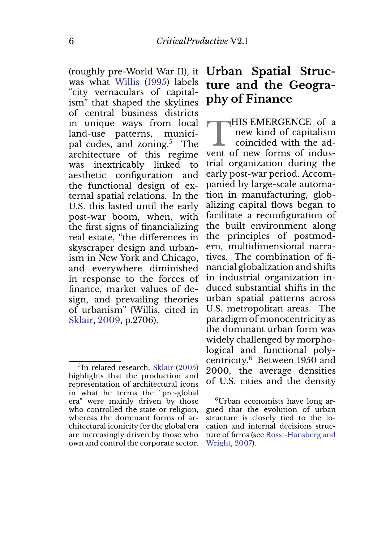(roughly pre-World War II), it was what Willis (1995) labels "city vernaculars of capitalism" that shaped the skylines of central business districts in unique ways from local land-use patterns, municipal codes, and zoning.<sup>5</sup> The architecture of this regime was inextricably linked to aesthetic configuration and the functional design of external spatial relations. In the U.S. this lasted until the early post-war boom, when, with the first signs of financializing real estate, "the differences in skyscraper design and urbanism in New York and Chicago, and everywhere diminished in response to the forces of finance, market values of design, and prevailing theories of urbanism" (Willis, cited in Sklair, 2009, p.2706).

### **Urban Spatial Structure and the Geography of Finance**

THIS EMERGENCE OF a<br>
new kind of capitalism<br>
coincided with the ad-<br>
vent of new forms of indus-HIS EMERGENCE of a new kind of capitalism coincided with the adtrial organization during the early post-war period. Accompanied by large-scale automation in manufacturing, globalizing capital flows began to facilitate a reconfiguration of the built environment along the principles of postmodern, multidimensional narratives. The combination of financial globalization and shifts in industrial organization induced substantial shifts in the urban spatial patterns across U.S. metropolitan areas. The paradigm of monocentricity as the dominant urban form was widely challenged by morphological and functional polycentricity.<sup>6</sup> Between 1950 and 2000, the average densities of U.S. cities and the density

<sup>5</sup> In related research, Sklair (2005) highlights that the production and representation of architectural icons in what he terms the "pre-global era" were mainly driven by those who controlled the state or religion, whereas the dominant forms of architectural iconicity for the global era are increasingly driven by those who own and control the corporate sector.

<sup>6</sup>Urban economists have long argued that the evolution of urban structure is closely tied to the location and internal decisions structure of firms (see Rossi-Hansberg and Wright, 2007).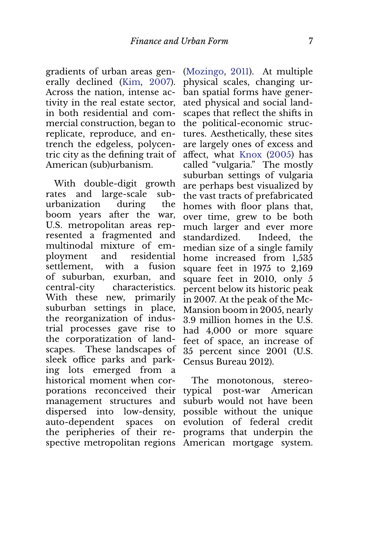gradients of urban areas generally declined (Kim, 2007). Across the nation, intense activity in the real estate sector, in both residential and commercial construction, began to replicate, reproduce, and entrench the edgeless, polycentric city as the defining trait of American (sub)urbanism.

With double-digit growth rates and large-scale suburbanization during the boom years after the war, U.S. metropolitan areas represented a fragmented and multinodal mixture of employment and residential settlement, with a fusion of suburban, exurban, and central-city characteristics. With these new, primarily suburban settings in place, the reorganization of industrial processes gave rise to the corporatization of landscapes. These landscapes of sleek office parks and parking lots emerged from a historical moment when corporations reconceived their management structures and dispersed into low-density, auto-dependent spaces on the peripheries of their respective metropolitan regions American mortgage system.

(Mozingo, 2011). At multiple physical scales, changing urban spatial forms have generated physical and social landscapes that reflect the shifts in the political-economic structures. Aesthetically, these sites are largely ones of excess and affect, what Knox (2005) has called "vulgaria." The mostly suburban settings of vulgaria are perhaps best visualized by the vast tracts of prefabricated homes with floor plans that, over time, grew to be both much larger and ever more standardized. Indeed, the median size of a single family home increased from 1,535 square feet in 1975 to 2,169 square feet in 2010, only 5 percent below its historic peak in 2007. At the peak of the Mc-Mansion boom in 2005, nearly 3.9 million homes in the U.S. had 4,000 or more square feet of space, an increase of 35 percent since 2001 (U.S. Census Bureau 2012).

The monotonous, stereotypical post-war American suburb would not have been possible without the unique evolution of federal credit programs that underpin the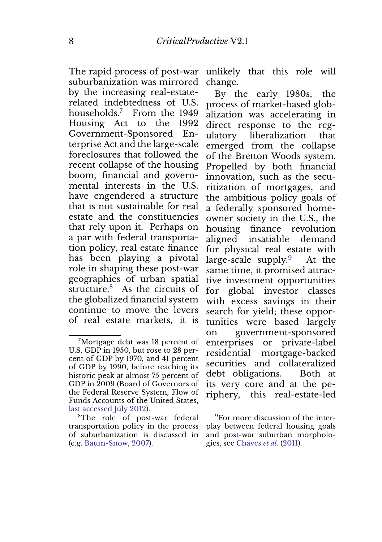The rapid process of post-war suburbanization was mirrored by the increasing real-estaterelated indebtedness of U.S. households.<sup>7</sup> From the 1949 Housing Act to the 1992 Government-Sponsored Enterprise Act and the large-scale foreclosures that followed the recent collapse of the housing boom, financial and governmental interests in the U.S. have engendered a structure that is not sustainable for real estate and the constituencies that rely upon it. Perhaps on a par with federal transportation policy, real estate finance has been playing a pivotal role in shaping these post-war geographies of urban spatial structure.<sup>8</sup> As the circuits of the globalized financial system continue to move the levers of real estate markets, it is

unlikely that this role will change.

By the early 1980s, the process of market-based globalization was accelerating in direct response to the regulatory liberalization that emerged from the collapse of the Bretton Woods system. Propelled by both financial innovation, such as the securitization of mortgages, and the ambitious policy goals of a federally sponsored homeowner society in the U.S., the housing finance revolution aligned insatiable demand for physical real estate with large-scale supply. $9$  At the same time, it promised attractive investment opportunities for global investor classes with excess savings in their search for yield; these opportunities were based largely on government-sponsored enterprises or private-label residential mortgage-backed securities and collateralized debt obligations. Both at its very core and at the periphery, this real-estate-led

<sup>&</sup>lt;sup>7</sup>Mortgage debt was 18 percent of U.S. GDP in 1950, but rose to 28 percent of GDP by 1970, and 41 percent of GDP by 1990, before reaching its historic peak at almost 75 percent of GDP in 2009 (Board of Governors of the Federal Reserve System, Flow of Funds Accounts of the United States, last accessed July 2012).

<sup>&</sup>lt;sup>8</sup>The role of post-war federal transportation policy in the process of suburbanization is discussed in (e.g. Baum-Snow, 2007).

<sup>&</sup>lt;sup>9</sup>For more discussion of the interplay between federal housing goals and post-war suburban morphologies, see Chaves *et al.* (2011).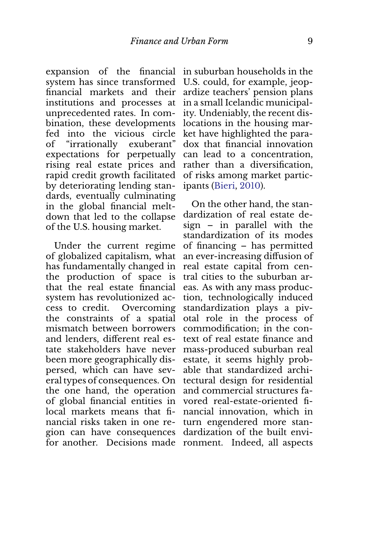expansion of the financial in suburban households in the system has since transformed financial markets and their institutions and processes at unprecedented rates. In combination, these developments fed into the vicious circle of "irrationally exuberant" expectations for perpetually rising real estate prices and rapid credit growth facilitated by deteriorating lending standards, eventually culminating in the global financial meltdown that led to the collapse of the U.S. housing market.

Under the current regime of globalized capitalism, what has fundamentally changed in the production of space is that the real estate financial system has revolutionized access to credit. Overcoming the constraints of a spatial mismatch between borrowers and lenders, different real estate stakeholders have never been more geographically dispersed, which can have several types of consequences. On the one hand, the operation of global financial entities in local markets means that financial risks taken in one region can have consequences for another. Decisions made ronment. Indeed, all aspects

U.S. could, for example, jeopardize teachers' pension plans in a small Icelandic municipality. Undeniably, the recent dislocations in the housing market have highlighted the paradox that financial innovation can lead to a concentration, rather than a diversification, of risks among market participants (Bieri, 2010).

On the other hand, the standardization of real estate design – in parallel with the standardization of its modes of financing – has permitted an ever-increasing diffusion of real estate capital from central cities to the suburban areas. As with any mass production, technologically induced standardization plays a pivotal role in the process of commodification; in the context of real estate finance and mass-produced suburban real estate, it seems highly probable that standardized architectural design for residential and commercial structures favored real-estate-oriented financial innovation, which in turn engendered more standardization of the built envi-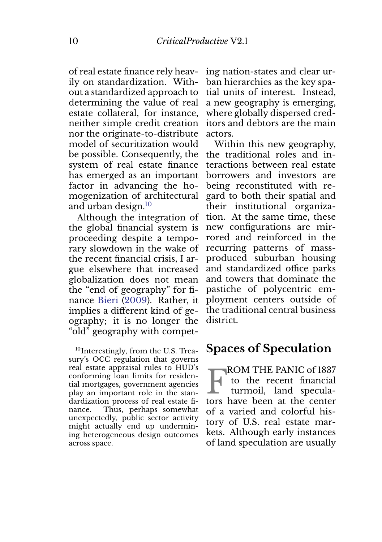of real estate finance rely heavily on standardization. Without a standardized approach to determining the value of real estate collateral, for instance, neither simple credit creation nor the originate-to-distribute model of securitization would be possible. Consequently, the system of real estate finance has emerged as an important factor in advancing the homogenization of architectural and urban design.<sup>10</sup>

Although the integration of the global financial system is proceeding despite a temporary slowdown in the wake of the recent financial crisis, I argue elsewhere that increased globalization does not mean the "end of geography" for finance Bieri (2009). Rather, it implies a different kind of geography; it is no longer the "old" geography with compet-

ing nation-states and clear urban hierarchies as the key spatial units of interest. Instead, a new geography is emerging, where globally dispersed creditors and debtors are the main actors.

Within this new geography, the traditional roles and interactions between real estate borrowers and investors are being reconstituted with regard to both their spatial and their institutional organization. At the same time, these new configurations are mirrored and reinforced in the recurring patterns of massproduced suburban housing and standardized office parks and towers that dominate the pastiche of polycentric employment centers outside of the traditional central business district.

#### **Spaces of Speculation**

**FROM THE PANIC of 1837**<br>to the recent financial<br>turmoil, land specula-<br>tors have been at the center ROM THE PANIC of 1837 to the recent financial turmoil, land speculaof a varied and colorful history of U.S. real estate markets. Although early instances of land speculation are usually

<sup>&</sup>lt;sup>10</sup>Interestingly, from the U.S. Treasury's OCC regulation that governs real estate appraisal rules to HUD's conforming loan limits for residential mortgages, government agencies play an important role in the standardization process of real estate finance. Thus, perhaps somewhat unexpectedly, public sector activity might actually end up undermining heterogeneous design outcomes across space.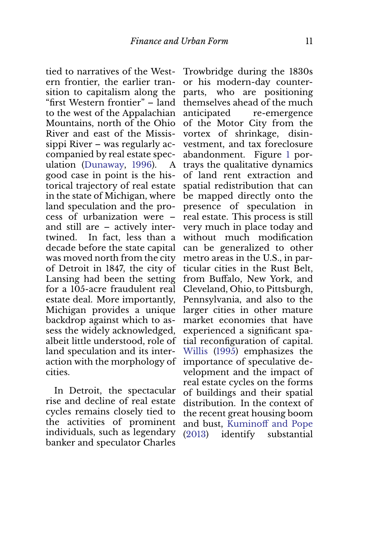tied to narratives of the Western frontier, the earlier transition to capitalism along the "first Western frontier" – land to the west of the Appalachian Mountains, north of the Ohio River and east of the Mississippi River – was regularly accompanied by real estate speculation (Dunaway, 1996). A good case in point is the historical trajectory of real estate in the state of Michigan, where land speculation and the process of urbanization were – and still are – actively intertwined. In fact, less than a decade before the state capital was moved north from the city of Detroit in 1847, the city of Lansing had been the setting for a 105-acre fraudulent real estate deal. More importantly, Michigan provides a unique backdrop against which to assess the widely acknowledged, albeit little understood, role of land speculation and its interaction with the morphology of cities.

In Detroit, the spectacular rise and decline of real estate cycles remains closely tied to the activities of prominent individuals, such as legendary banker and speculator Charles

Trowbridge during the 1830s or his modern-day counterparts, who are positioning themselves ahead of the much anticipated re-emergence of the Motor City from the vortex of shrinkage, disinvestment, and tax foreclosure abandonment. Figure 1 portrays the qualitative dynamics of land rent extraction and spatial redistribution that can be mapped directly onto the presence of speculation in real estate. This process is still very much in place today and without much modification can be generalized to other metro areas in the U.S., in particular cities in the Rust Belt, from Buffalo, New York, and Cleveland, Ohio, to Pittsburgh, Pennsylvania, and also to the larger cities in other mature market economies that have experienced a significant spatial reconfiguration of capital. Willis (1995) emphasizes the importance of speculative development and the impact of real estate cycles on the forms of buildings and their spatial distribution. In the context of the recent great housing boom and bust, Kuminoff and Pope (2013) identify substantial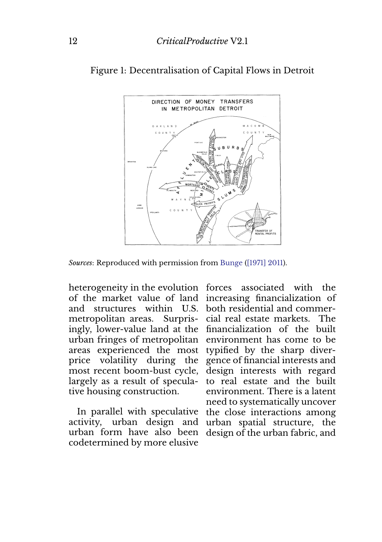

Figure 1: Decentralisation of Capital Flows in Detroit

*Sources*: Reproduced with permission from Bunge ([1971] 2011).

heterogeneity in the evolution forces associated with the of the market value of land increasing financialization of and structures within U.S. both residential and commermetropolitan areas. Surpris-cial real estate markets. The ingly, lower-value land at the financialization of the built urban fringes of metropolitan environment has come to be areas experienced the most typified by the sharp diverprice volatility during the gence of financial interests and most recent boom-bust cycle, design interests with regard largely as a result of speculative housing construction.

In parallel with speculative activity, urban design and urban form have also been design of the urban fabric, andcodetermined by more elusive

to real estate and the built environment. There is a latent need to systematically uncover the close interactions among urban spatial structure, the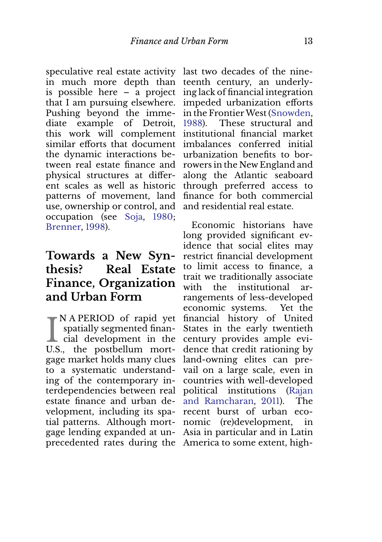speculative real estate activity last two decades of the ninein much more depth than is possible here – a project that I am pursuing elsewhere. Pushing beyond the immediate example of Detroit, this work will complement similar efforts that document the dynamic interactions between real estate finance and physical structures at different scales as well as historic patterns of movement, land use, ownership or control, and occupation (see Soja, 1980; Brenner, 1998).

### **Towards a New Synthesis? Real Estate Finance, Organization and Urban Form**

I NAPERIOD of rapid yet<br>spatially segmented finan-<br>cial development in the N A PERIOD of rapid yet spatially segmented finan-U.S., the postbellum mortgage market holds many clues to a systematic understanding of the contemporary interdependencies between real estate finance and urban development, including its spatial patterns. Although mortgage lending expanded at unprecedented rates during the America to some extent, high-

teenth century, an underlying lack of financial integration impeded urbanization efforts in the Frontier West (Snowden, 1988). These structural and institutional financial market imbalances conferred initial urbanization benefits to borrowers in the New England and along the Atlantic seaboard through preferred access to finance for both commercial and residential real estate.

Economic historians have long provided significant evidence that social elites may restrict financial development to limit access to finance, a trait we traditionally associate with the institutional arrangements of less-developed economic systems. Yet the financial history of United States in the early twentieth century provides ample evidence that credit rationing by land-owning elites can prevail on a large scale, even in countries with well-developed political institutions (Rajan and Ramcharan, 2011). The recent burst of urban economic (re)development, in Asia in particular and in Latin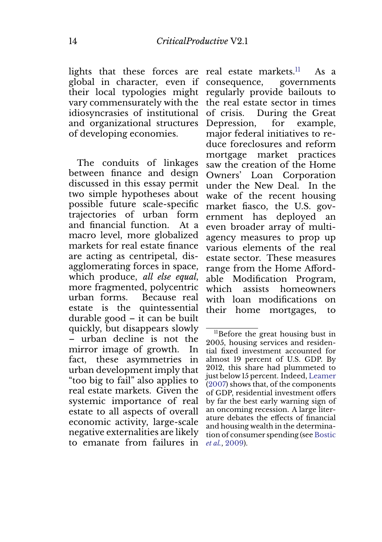lights that these forces are real estate markets. $^{11}$  As a global in character, even if their local typologies might regularly provide bailouts to vary commensurately with the idiosyncrasies of institutional and organizational structures of developing economies.

The conduits of linkages between finance and design discussed in this essay permit two simple hypotheses about possible future scale-specific trajectories of urban form and financial function. At a macro level, more globalized markets for real estate finance are acting as centripetal, disagglomerating forces in space, which produce, *all else equal*, more fragmented, polycentric urban forms. Because real estate is the quintessential durable good – it can be built quickly, but disappears slowly – urban decline is not the mirror image of growth. In fact, these asymmetries in urban development imply that "too big to fail" also applies to real estate markets. Given the systemic importance of real estate to all aspects of overall economic activity, large-scale negative externalities are likely to emanate from failures in

consequence, governments the real estate sector in times of crisis. During the Great Depression, for example, major federal initiatives to reduce foreclosures and reform mortgage market practices saw the creation of the Home Owners' Loan Corporation under the New Deal. In the wake of the recent housing market fiasco, the U.S. government has deployed an even broader array of multiagency measures to prop up various elements of the real estate sector. These measures range from the Home Affordable Modification Program, which assists homeowners with loan modifications on their home mortgages, to

<sup>&</sup>lt;sup>11</sup>Before the great housing bust in 2005, housing services and residential fixed investment accounted for almost 19 percent of U.S. GDP. By 2012, this share had plummeted to just below 15 percent. Indeed, Leamer (2007) shows that, of the components of GDP, residential investment offers by far the best early warning sign of an oncoming recession. A large literature debates the effects of financial and housing wealth in the determination of consumer spending (see Bostic *et al.*, 2009).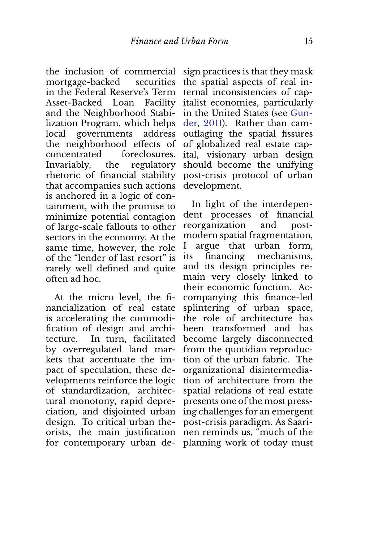the inclusion of commercial mortgage-backed securities in the Federal Reserve's Term Asset-Backed Loan Facility and the Neighborhood Stabilization Program, which helps local governments address the neighborhood effects of concentrated foreclosures. Invariably, the regulatory rhetoric of financial stability that accompanies such actions is anchored in a logic of containment, with the promise to minimize potential contagion of large-scale fallouts to other sectors in the economy. At the same time, however, the role of the "lender of last resort" is rarely well defined and quite often ad hoc.

At the micro level, the financialization of real estate is accelerating the commodification of design and architecture. In turn, facilitated by overregulated land markets that accentuate the impact of speculation, these developments reinforce the logic of standardization, architectural monotony, rapid depreciation, and disjointed urban design. To critical urban theorists, the main justification for contemporary urban design practices is that they mask the spatial aspects of real internal inconsistencies of capitalist economies, particularly in the United States (see Gunder, 2011). Rather than camouflaging the spatial fissures of globalized real estate capital, visionary urban design should become the unifying post-crisis protocol of urban development.

In light of the interdependent processes of financial reorganization and postmodern spatial fragmentation, I argue that urban form, its financing mechanisms, and its design principles remain very closely linked to their economic function. Accompanying this finance-led splintering of urban space, the role of architecture has been transformed and has become largely disconnected from the quotidian reproduction of the urban fabric. The organizational disintermediation of architecture from the spatial relations of real estate presents one of the most pressing challenges for an emergent post-crisis paradigm. As Saarinen reminds us, "much of the planning work of today must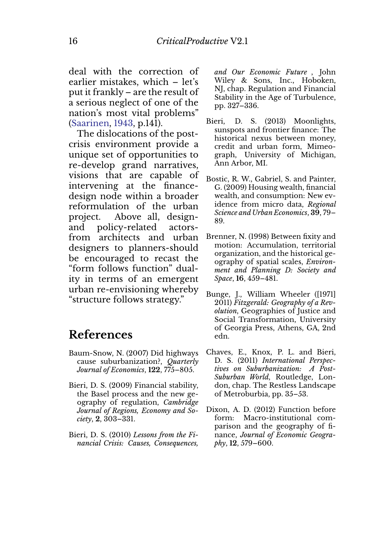deal with the correction of earlier mistakes, which – let's put it frankly – are the result of a serious neglect of one of the nation's most vital problems" (Saarinen, 1943, p.141).

The dislocations of the postcrisis environment provide a unique set of opportunities to re-develop grand narratives, visions that are capable of intervening at the financedesign node within a broader reformulation of the urban project. Above all, designand policy-related actorsfrom architects and urban designers to planners-should be encouraged to recast the "form follows function" duality in terms of an emergent urban re-envisioning whereby "structure follows strategy."

### **References**

- Baum-Snow, N. (2007) Did highways cause suburbanization?, *Quarterly Journal of Economics*, **122**, 775–805.
- Bieri, D. S. (2009) Financial stability, the Basel process and the new geography of regulation, *Cambridge Journal of Regions, Economy and Society*, **2**, 303–331.
- Bieri, D. S. (2010) *Lessons from the Financial Crisis: Causes, Consequences,*

*and Our Economic Future* , John Wiley & Sons, Inc., Hoboken, NJ, chap. Regulation and Financial Stability in the Age of Turbulence, pp. 327–336.

- Bieri, D. S. (2013) Moonlights, sunspots and frontier finance: The historical nexus between money, credit and urban form, Mimeograph, University of Michigan, Ann Arbor, MI.
- Bostic, R. W., Gabriel, S. and Painter, G. (2009) Housing wealth, financial wealth, and consumption: New evidence from micro data, *Regional Science and Urban Economics*, **39**, 79– 89.
- Brenner, N. (1998) Between fixity and motion: Accumulation, territorial organization, and the historical geography of spatial scales, *Environment and Planning D: Society and Space*, **16**, 459–481.
- Bunge, J., William Wheeler ([1971] 2011) *Fitzgerald: Geography of a Revolution*, Geographies of Justice and Social Transformation, University of Georgia Press, Athens, GA, 2nd edn.
- Chaves, E., Knox, P. L. and Bieri, D. S. (2011) *International Perspectives on Suburbanization: A Post-Suburban World*, Routledge, London, chap. The Restless Landscape of Metroburbia, pp. 35–53.
- Dixon, A. D. (2012) Function before form: Macro-institutional comparison and the geography of finance, *Journal of Economic Geography*, **12**, 579–600.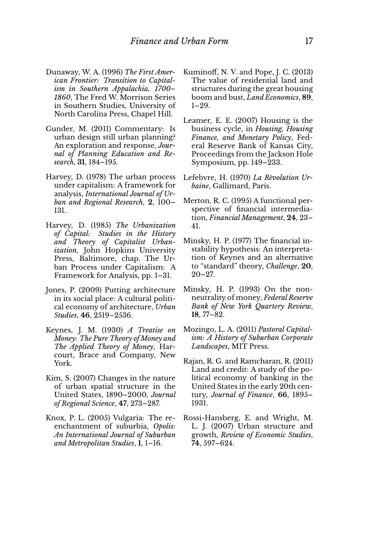- Dunaway, W. A. (1996) *The First American Frontier: Transition to Capitalism in Southern Appalachia, 1700– 1860*, The Fred W. Morrison Series in Southern Studies, University of North Carolina Press, Chapel Hill.
- Gunder, M. (2011) Commentary: Is urban design still urban planning? An exploration and response, *Journal of Planning Education and Research*, **31**, 184–195.
- Harvey, D. (1978) The urban process under capitalism: A framework for analysis, *International Journal of Urban and Regional Research*, **2**, 100– 131.
- Harvey, D. (1985) *The Urbanization of Capital: Studies in the History and Theory of Capitalist Urbanization*, John Hopkins University Press, Baltimore, chap. The Urban Process under Capitalism: A Framework for Analysis, pp. 1–31.
- Jones, P. (2009) Putting architecture in its social place: A cultural political economy of architecture, *Urban Studies*, **46**, 2519–2536.
- Keynes, J. M. (1930) *A Treatise on Money: The Pure Theory of Money and The Applied Theory of Money*, Harcourt, Brace and Company, New York.
- Kim, S. (2007) Changes in the nature of urban spatial structure in the United States, 1890–2000, *Journal of Regional Science*, **47**, 273–287.
- Knox, P. L. (2005) Vulgaria: The reenchantment of suburbia, *Opolis: An International Journal of Suburban and Metropolitan Studies*, **1**, 1–16.
- Kuminoff, N. V. and Pope, J. C. (2013) The value of residential land and structures during the great housing boom and bust, *Land Economics*, **89**, 1–29.
- Leamer, E. E. (2007) Housing is the business cycle, in *Housing, Housing Finance, and Monetary Policy*, Federal Reserve Bank of Kansas City, Proceedings from the Jackson Hole Symposium, pp. 149–233.
- Lefebvre, H. (1970) *La Revolution Ur- ´ baine*, Gallimard, Paris.
- Merton, R. C. (1995) A functional perspective of financial intermediation, *Financial Management*, **24**, 23– 41.
- Minsky, H. P. (1977) The financial instability hypothesis: An interpretation of Keynes and an alternative to "standard" theory, *Challenge*, **20**,  $20 - 27.$
- Minsky, H. P. (1993) On the nonneutrality of money, *Federal Reserve Bank of New York Quartery Review*, **18**, 77–82.
- Mozingo, L. A. (2011) *Pastoral Capitalism: A History of Suburban Corporate Landscapes*, MIT Press.
- Rajan, R. G. and Ramcharan, R. (2011) Land and credit: A study of the political economy of banking in the United States in the early 20th century, *Journal of Finance*, **66**, 1895– 1931.
- Rossi-Hansberg, E. and Wright, M. L. J. (2007) Urban structure and growth, *Review of Economic Studies*, **74**, 597–624.